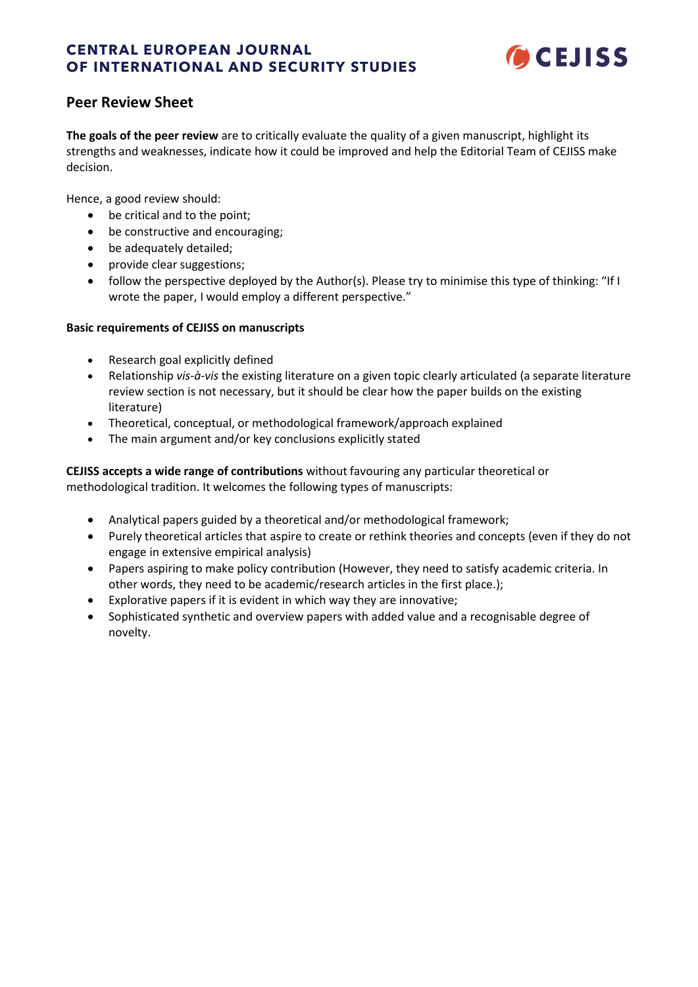# **CENTRAL EUROPEAN JOURNAL OF INTERNATIONAL AND SECURITY STUDIES**



# **Peer Review Sheet**

**The goals of the peer review** are to critically evaluate the quality of a given manuscript, highlight its strengths and weaknesses, indicate how it could be improved and help the Editorial Team of CEJISS make decision.

Hence, a good review should:

- be critical and to the point;
- be constructive and encouraging;
- be adequately detailed;
- provide clear suggestions;
- follow the perspective deployed by the Author(s). Please try to minimise this type of thinking: "If I wrote the paper, I would employ a different perspective."

## **Basic requirements of CEJISS on manuscripts**

- Research goal explicitly defined
- Relationship *vis-à-vis* the existing literature on a given topic clearly articulated (a separate literature review section is not necessary, but it should be clear how the paper builds on the existing literature)
- Theoretical, conceptual, or methodological framework/approach explained
- The main argument and/or key conclusions explicitly stated

**CEJISS accepts a wide range of contributions** without favouring any particular theoretical or methodological tradition. It welcomes the following types of manuscripts:

- Analytical papers guided by a theoretical and/or methodological framework;
- Purely theoretical articles that aspire to create or rethink theories and concepts (even if they do not engage in extensive empirical analysis)
- Papers aspiring to make policy contribution (However, they need to satisfy academic criteria. In other words, they need to be academic/research articles in the first place.);
- Explorative papers if it is evident in which way they are innovative;
- Sophisticated synthetic and overview papers with added value and a recognisable degree of novelty.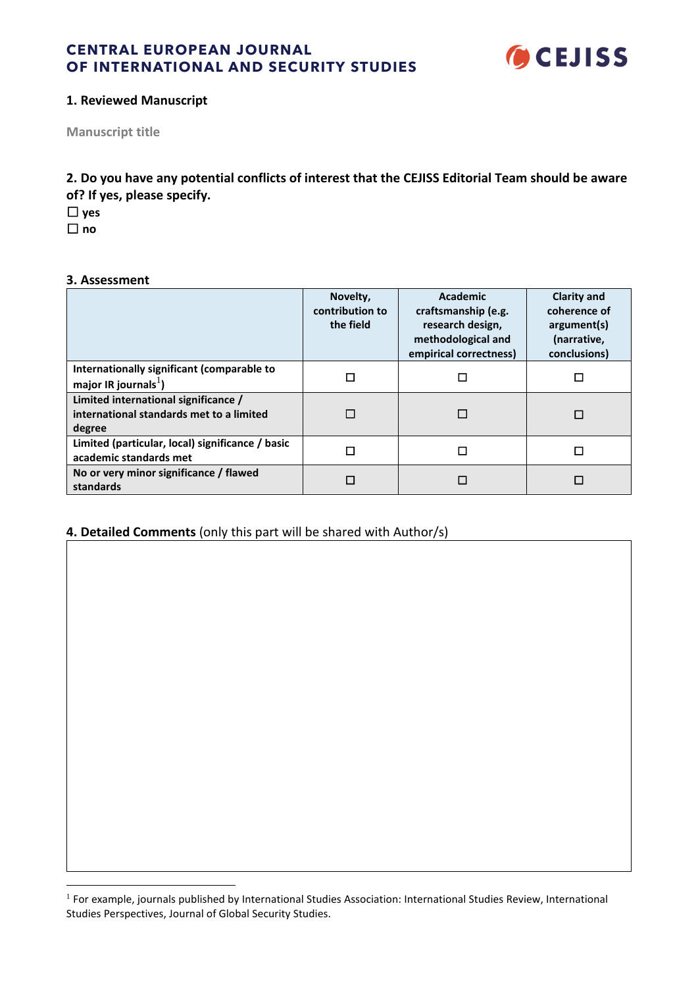

## **1. Reviewed Manuscript**

**Manuscript title**

**2. Do you have any potential conflicts of interest that the CEJISS Editorial Team should be aware of? If yes, please specify.**

☐ **yes**

☐ **no**

## **3. Assessment**

|                                                                                            | Novelty,<br>contribution to<br>the field | Academic<br>craftsmanship (e.g.<br>research design,<br>methodological and<br>empirical correctness) | <b>Clarity and</b><br>coherence of<br>argument(s)<br>(narrative,<br>conclusions) |
|--------------------------------------------------------------------------------------------|------------------------------------------|-----------------------------------------------------------------------------------------------------|----------------------------------------------------------------------------------|
| Internationally significant (comparable to<br>major IR journals <sup>1</sup> )             |                                          | П                                                                                                   |                                                                                  |
| Limited international significance /<br>international standards met to a limited<br>degree | П                                        | □                                                                                                   |                                                                                  |
| Limited (particular, local) significance / basic<br>academic standards met                 |                                          | П                                                                                                   |                                                                                  |
| No or very minor significance / flawed<br>standards                                        |                                          | П                                                                                                   |                                                                                  |

# **4. Detailed Comments** (only this part will be shared with Author/s)

<sup>&</sup>lt;sup>1</sup> For example, journals published by International Studies Association: International Studies Review, International Studies Perspectives, Journal of Global Security Studies.